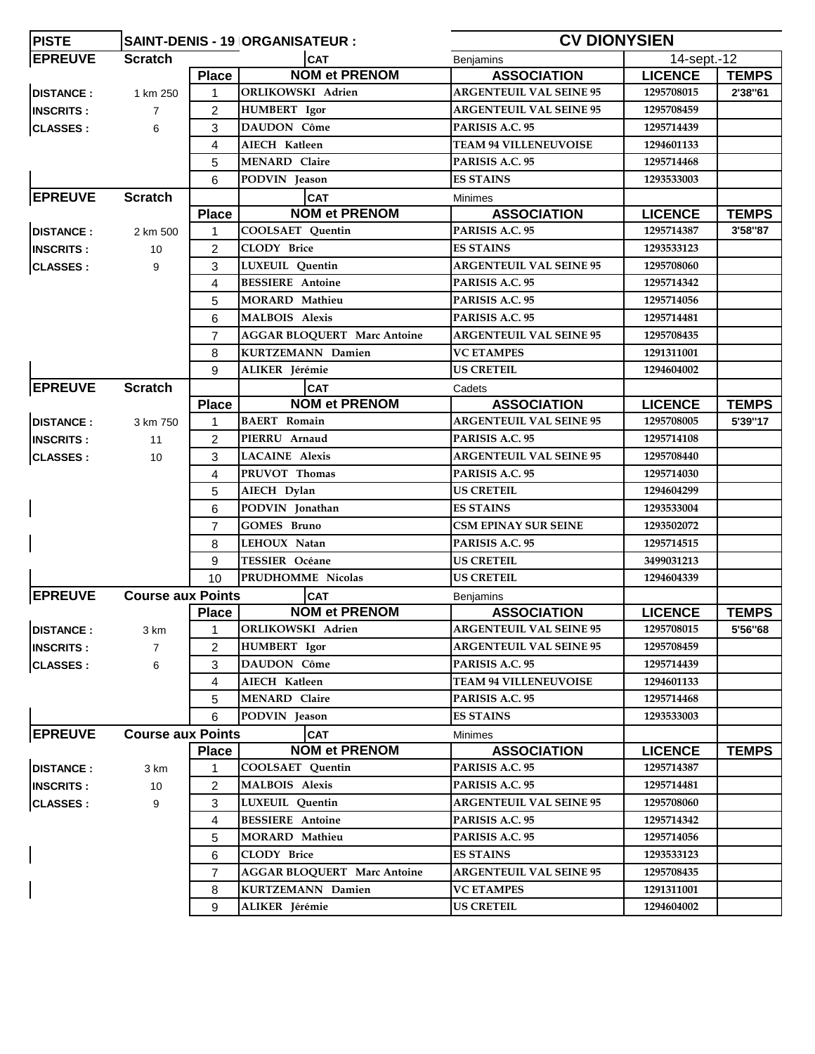| <b>PISTE</b>     | <b>CV DIONYSIEN</b><br>SAINT-DENIS - 19 ORGANISATEUR : |                |                                    |                                 |                          |              |
|------------------|--------------------------------------------------------|----------------|------------------------------------|---------------------------------|--------------------------|--------------|
| <b>EPREUVE</b>   | <b>Scratch</b>                                         |                | <b>CAT</b>                         | Benjamins                       | $14$ -sept.-12           |              |
|                  |                                                        | <b>Place</b>   | <b>NOM et PRENOM</b>               | <b>ASSOCIATION</b>              | <b>LICENCE</b>           | <b>TEMPS</b> |
| <b>DISTANCE:</b> | 1 km 250                                               | $\mathbf{1}$   | ORLIKOWSKI Adrien                  | <b>ARGENTEUIL VAL SEINE 95</b>  | 1295708015               | 2'38"61      |
| <b>INSCRITS:</b> | $\overline{7}$                                         | 2              | <b>HUMBERT</b> Igor                | <b>ARGENTEUIL VAL SEINE 95</b>  | 1295708459               |              |
| <b>CLASSES:</b>  | 6                                                      | 3              | DAUDON Côme                        | PARISIS A.C. 95                 | 1295714439               |              |
|                  |                                                        | 4              | AIECH Katleen                      | <b>TEAM 94 VILLENEUVOISE</b>    | 1294601133               |              |
|                  |                                                        | 5              | <b>MENARD Claire</b>               | PARISIS A.C. 95                 | 1295714468               |              |
|                  |                                                        | 6              | PODVIN Jeason                      | <b>ES STAINS</b>                | 1293533003               |              |
| <b>EPREUVE</b>   | <b>Scratch</b>                                         |                | <b>CAT</b>                         | Minimes                         |                          |              |
|                  |                                                        | <b>Place</b>   | <b>NOM et PRENOM</b>               | <b>ASSOCIATION</b>              | <b>LICENCE</b>           | <b>TEMPS</b> |
| <b>DISTANCE:</b> | 2 km 500                                               | $\mathbf{1}$   | <b>COOLSAET</b> Quentin            | PARISIS A.C. 95                 | 1295714387               | 3'58"87      |
| <b>INSCRITS:</b> | 10                                                     | $\overline{c}$ | <b>CLODY Brice</b>                 | <b>ES STAINS</b>                | 1293533123               |              |
| <b>CLASSES:</b>  | 9                                                      | 3              | LUXEUIL Quentin                    | <b>ARGENTEUIL VAL SEINE 95</b>  | 1295708060               |              |
|                  |                                                        | 4              | <b>BESSIERE</b> Antoine            | PARISIS A.C. 95                 | 1295714342               |              |
|                  |                                                        | 5              | <b>MORARD Mathieu</b>              | PARISIS A.C. 95                 | 1295714056               |              |
|                  |                                                        | 6              | <b>MALBOIS Alexis</b>              | PARISIS A.C. 95                 | 1295714481               |              |
|                  |                                                        | $\overline{7}$ | <b>AGGAR BLOQUERT Marc Antoine</b> | <b>ARGENTEUIL VAL SEINE 95</b>  | 1295708435               |              |
|                  |                                                        | 8              | <b>KURTZEMANN Damien</b>           | <b>VC ETAMPES</b>               | 1291311001               |              |
|                  |                                                        | 9              | ALIKER Jérémie                     | <b>US CRETEIL</b>               | 1294604002               |              |
| <b>EPREUVE</b>   | <b>Scratch</b>                                         |                | <b>CAT</b>                         | Cadets                          |                          |              |
|                  |                                                        | <b>Place</b>   | <b>NOM et PRENOM</b>               | <b>ASSOCIATION</b>              | <b>LICENCE</b>           | <b>TEMPS</b> |
| <b>DISTANCE:</b> | 3 km 750                                               | $\mathbf{1}$   | <b>BAERT</b> Romain                | <b>ARGENTEUIL VAL SEINE 95</b>  | 1295708005               | 5'39"17      |
| <b>INSCRITS:</b> | 11                                                     | 2              | PIERRU Arnaud                      | PARISIS A.C. 95                 | 1295714108               |              |
| <b>CLASSES:</b>  | 10                                                     | 3              | <b>LACAINE</b> Alexis              | <b>ARGENTEUIL VAL SEINE 95</b>  | 1295708440               |              |
|                  |                                                        | 4              | PRUVOT Thomas                      | PARISIS A.C. 95                 | 1295714030               |              |
|                  |                                                        | 5              | AIECH Dylan                        | <b>US CRETEIL</b>               | 1294604299               |              |
|                  |                                                        | 6              | PODVIN Jonathan                    | <b>ES STAINS</b>                | 1293533004               |              |
|                  |                                                        | $\overline{7}$ | <b>GOMES Bruno</b>                 | <b>CSM EPINAY SUR SEINE</b>     | 1293502072               |              |
|                  |                                                        | 8              | LEHOUX Natan                       | PARISIS A.C. 95                 | 1295714515               |              |
|                  |                                                        | 9              | <b>TESSIER Océane</b>              | <b>US CRETEIL</b>               | 3499031213               |              |
|                  |                                                        | 10             | PRUDHOMME Nicolas                  | <b>US CRETEIL</b>               | 1294604339               |              |
| <b>EPREUVE</b>   | <b>Course aux Points</b>                               |                | <b>CAT</b>                         |                                 |                          |              |
|                  |                                                        | <b>Place</b>   | <b>NOM et PRENOM</b>               | Benjamins<br><b>ASSOCIATION</b> | <b>LICENCE</b>           | <b>TEMPS</b> |
| <b>DISTANCE:</b> |                                                        | $\overline{1}$ | <b>ORLIKOWSKI</b> Adrien           | <b>ARGENTEUIL VAL SEINE 95</b>  | 1295708015               | 5'56"68      |
|                  | 3 km                                                   |                | <b>HUMBERT</b> Igor                | <b>ARGENTEUIL VAL SEINE 95</b>  | 1295708459               |              |
| <b>INSCRITS:</b> | 7                                                      | 2              | <b>DAUDON Côme</b>                 | PARISIS A.C. 95                 |                          |              |
| <b>CLASSES:</b>  | 6                                                      | 3              | <b>AIECH Katleen</b>               | <b>TEAM 94 VILLENEUVOISE</b>    | 1295714439<br>1294601133 |              |
|                  |                                                        | 4              | <b>MENARD Claire</b>               |                                 |                          |              |
|                  |                                                        | 5              |                                    | PARISIS A.C. 95                 | 1295714468               |              |
|                  |                                                        | 6              | PODVIN Jeason                      | <b>ES STAINS</b>                | 1293533003               |              |
| <b>EPREUVE</b>   | <b>Course aux Points</b>                               |                | <b>CAT</b>                         | Minimes                         |                          |              |
|                  |                                                        | <b>Place</b>   | <b>NOM et PRENOM</b>               | <b>ASSOCIATION</b>              | <b>LICENCE</b>           | <b>TEMPS</b> |
| <b>DISTANCE:</b> | 3 km                                                   | 1              | COOLSAET Quentin                   | PARISIS A.C. 95                 | 1295714387               |              |
| <b>INSCRITS:</b> | 10                                                     | $\overline{2}$ | <b>MALBOIS Alexis</b>              | PARISIS A.C. 95                 | 1295714481               |              |
| <b>CLASSES:</b>  | 9                                                      | 3              | LUXEUIL Quentin                    | <b>ARGENTEUIL VAL SEINE 95</b>  | 1295708060               |              |
|                  |                                                        | 4              | <b>BESSIERE</b> Antoine            | PARISIS A.C. 95                 | 1295714342               |              |
|                  |                                                        | 5              | <b>MORARD Mathieu</b>              | PARISIS A.C. 95                 | 1295714056               |              |
| $\mathbf{I}$     |                                                        | 6              | <b>CLODY Brice</b>                 | <b>ES STAINS</b>                | 1293533123               |              |
|                  |                                                        | $\overline{7}$ | <b>AGGAR BLOQUERT Marc Antoine</b> | <b>ARGENTEUIL VAL SEINE 95</b>  | 1295708435               |              |
|                  |                                                        | 8              | <b>KURTZEMANN Damien</b>           | <b>VC ETAMPES</b>               | 1291311001               |              |
|                  |                                                        | 9              | ALIKER Jérémie                     | <b>US CRETEIL</b>               | 1294604002               |              |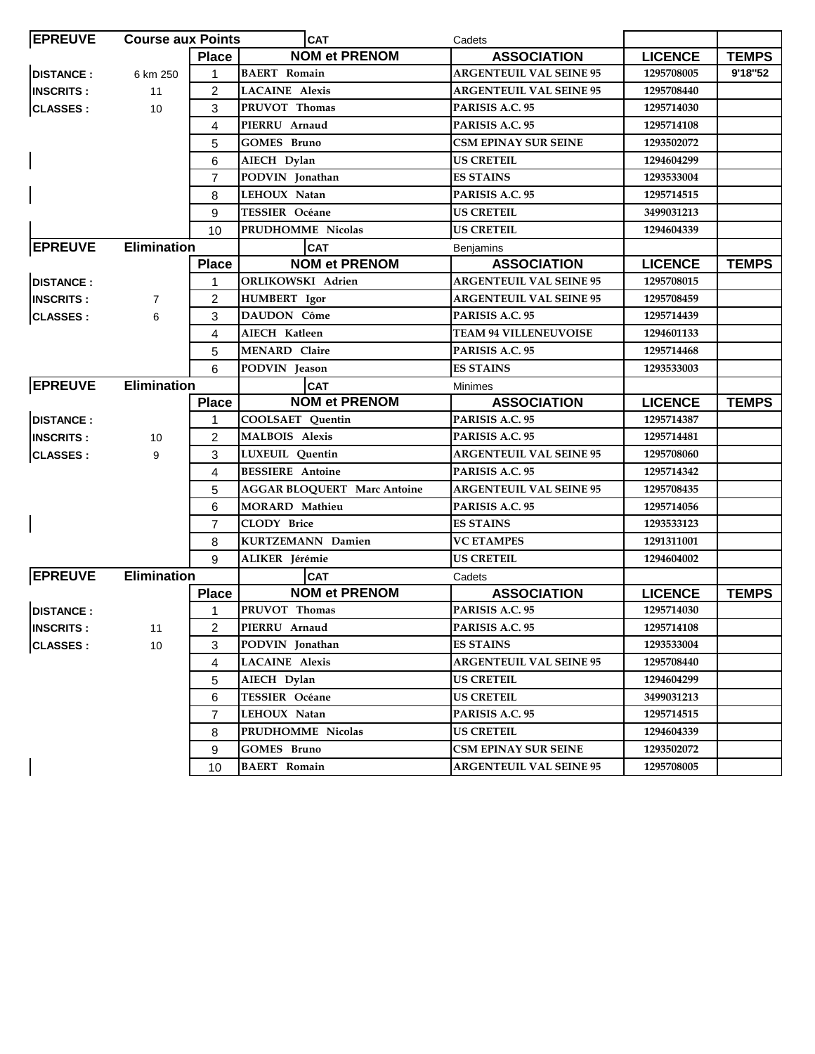| <b>EPREUVE</b>           | <b>Course aux Points</b> |                | <b>CAT</b>                         | Cadets                         |                |              |
|--------------------------|--------------------------|----------------|------------------------------------|--------------------------------|----------------|--------------|
|                          |                          | <b>Place</b>   | <b>NOM et PRENOM</b>               | <b>ASSOCIATION</b>             | <b>LICENCE</b> | <b>TEMPS</b> |
| <b>DISTANCE:</b>         | 6 km 250                 | 1              | <b>BAERT</b> Romain                | <b>ARGENTEUIL VAL SEINE 95</b> | 1295708005     | 9'18"52      |
| <b>INSCRITS:</b>         | 11                       | $\overline{2}$ | <b>LACAINE Alexis</b>              | <b>ARGENTEUIL VAL SEINE 95</b> | 1295708440     |              |
| <b>CLASSES:</b>          | 10                       | 3              | PRUVOT Thomas                      | PARISIS A.C. 95                | 1295714030     |              |
|                          |                          | 4              | PIERRU Arnaud                      | PARISIS A.C. 95                | 1295714108     |              |
|                          |                          | 5              | <b>GOMES Bruno</b>                 | <b>CSM EPINAY SUR SEINE</b>    | 1293502072     |              |
| $\mathsf{l}$             |                          | 6              | AIECH Dylan                        | <b>US CRETEIL</b>              | 1294604299     |              |
|                          |                          | $\overline{7}$ | PODVIN Jonathan                    | <b>ES STAINS</b>               | 1293533004     |              |
|                          |                          | 8              | LEHOUX Natan                       | PARISIS A.C. 95                | 1295714515     |              |
|                          |                          | 9              | <b>TESSIER Océane</b>              | <b>US CRETEIL</b>              | 3499031213     |              |
|                          |                          | 10             | PRUDHOMME Nicolas                  | <b>US CRETEIL</b>              | 1294604339     |              |
| <b>EPREUVE</b>           | <b>Elimination</b>       |                | <b>CAT</b>                         | <b>Benjamins</b>               |                |              |
|                          |                          | <b>Place</b>   | <b>NOM et PRENOM</b>               | <b>ASSOCIATION</b>             | <b>LICENCE</b> | <b>TEMPS</b> |
| <b>DISTANCE:</b>         |                          | 1              | ORLIKOWSKI Adrien                  | <b>ARGENTEUIL VAL SEINE 95</b> | 1295708015     |              |
| <b>INSCRITS:</b>         | $\overline{7}$           | $\overline{2}$ | <b>HUMBERT</b> Igor                | <b>ARGENTEUIL VAL SEINE 95</b> | 1295708459     |              |
| <b>CLASSES:</b>          | 6                        | 3              | <b>DAUDON Côme</b>                 | PARISIS A.C. 95                | 1295714439     |              |
|                          |                          | 4              | <b>AIECH Katleen</b>               | <b>TEAM 94 VILLENEUVOISE</b>   | 1294601133     |              |
|                          |                          | 5              | <b>MENARD Claire</b>               | PARISIS A.C. 95                | 1295714468     |              |
|                          |                          | 6              | PODVIN Jeason                      | <b>ES STAINS</b>               | 1293533003     |              |
| <b>EPREUVE</b>           | <b>Elimination</b>       |                | <b>CAT</b>                         | <b>Minimes</b>                 |                |              |
|                          |                          | <b>Place</b>   | <b>NOM et PRENOM</b>               | <b>ASSOCIATION</b>             | <b>LICENCE</b> | <b>TEMPS</b> |
| <b>DISTANCE:</b>         |                          | 1              | COOLSAET Quentin                   | PARISIS A.C. 95                | 1295714387     |              |
| <b>INSCRITS:</b>         | 10                       | 2              | <b>MALBOIS Alexis</b>              | PARISIS A.C. 95                | 1295714481     |              |
| <b>CLASSES:</b>          | 9                        | 3              | LUXEUIL Quentin                    | <b>ARGENTEUIL VAL SEINE 95</b> | 1295708060     |              |
|                          |                          | 4              | <b>BESSIERE</b> Antoine            | PARISIS A.C. 95                | 1295714342     |              |
|                          |                          | 5              | <b>AGGAR BLOQUERT Marc Antoine</b> | <b>ARGENTEUIL VAL SEINE 95</b> | 1295708435     |              |
|                          |                          | 6              | <b>MORARD Mathieu</b>              | PARISIS A.C. 95                | 1295714056     |              |
| $\overline{\phantom{a}}$ |                          | $\overline{7}$ | <b>CLODY Brice</b>                 | <b>ES STAINS</b>               | 1293533123     |              |
|                          |                          | 8              | <b>KURTZEMANN Damien</b>           | <b>VC ETAMPES</b>              | 1291311001     |              |
|                          |                          | 9              | ALIKER Jérémie                     | <b>US CRETEIL</b>              | 1294604002     |              |
| <b>EPREUVE</b>           | <b>Elimination</b>       |                | <b>CAT</b>                         | Cadets                         |                |              |
|                          |                          | <b>Place</b>   | <b>NOM et PRENOM</b>               | <b>ASSOCIATION</b>             | <b>LICENCE</b> | <b>TEMPS</b> |
| <b>DISTANCE:</b>         |                          | 1              | PRUVOT Thomas                      | PARISIS A.C. 95                | 1295714030     |              |
| <b>INSCRITS:</b>         | $\overline{11}$          | $\overline{2}$ | PIERRU Arnaud                      | PARISIS A.C. 95                | 1295714108     |              |
| <b>CLASSES:</b>          | 10                       | 3              | PODVIN Jonathan                    | <b>ES STAINS</b>               | 1293533004     |              |
|                          |                          | 4              | <b>LACAINE Alexis</b>              | <b>ARGENTEUIL VAL SEINE 95</b> | 1295708440     |              |
|                          |                          | 5              | AIECH Dylan                        | US CRETEIL                     | 1294604299     |              |
|                          |                          | 6              | TESSIER Océane                     | <b>US CRETEIL</b>              | 3499031213     |              |
|                          |                          | $\overline{7}$ | LEHOUX Natan                       | PARISIS A.C. 95                | 1295714515     |              |
|                          |                          | 8              | PRUDHOMME Nicolas                  | <b>US CRETEIL</b>              | 1294604339     |              |
|                          |                          | 9              | GOMES Bruno                        | <b>CSM EPINAY SUR SEINE</b>    | 1293502072     |              |
|                          |                          | 10             | <b>BAERT</b> Romain                | <b>ARGENTEUIL VAL SEINE 95</b> | 1295708005     |              |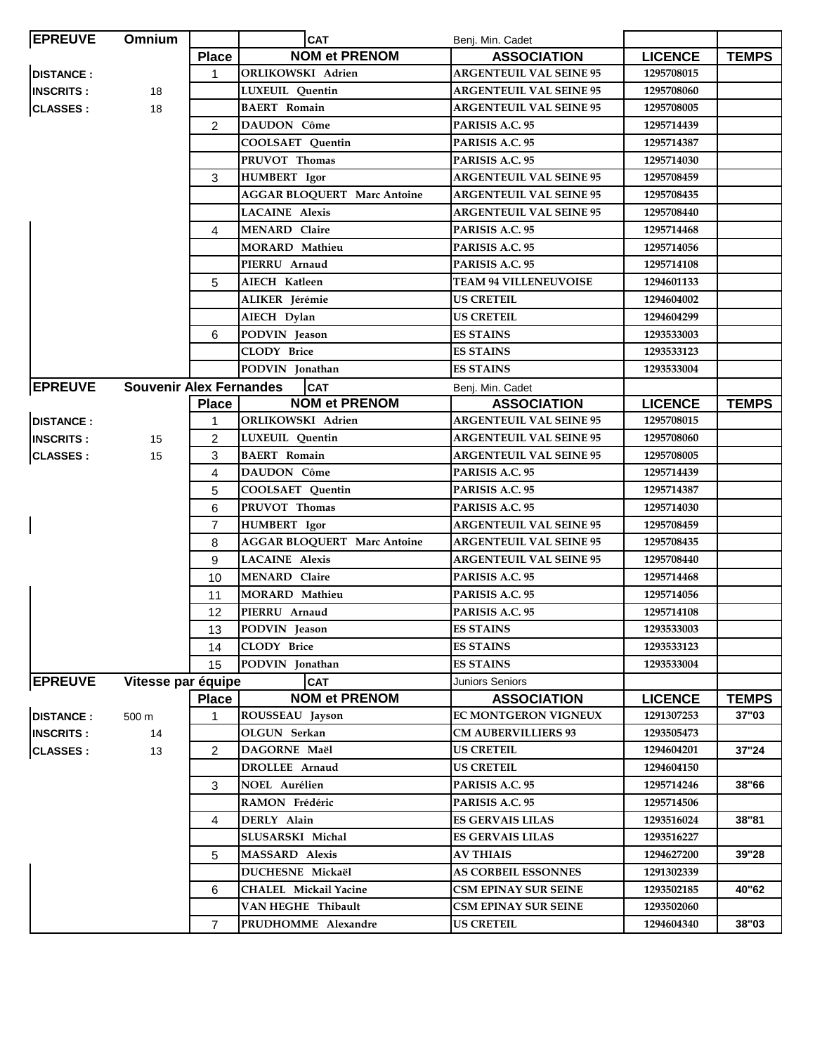| <b>EPREUVE</b>   | Omnium                         |                | <b>CAT</b>                         | Benj. Min. Cadet               |                |              |
|------------------|--------------------------------|----------------|------------------------------------|--------------------------------|----------------|--------------|
|                  |                                | <b>Place</b>   | <b>NOM et PRENOM</b>               | <b>ASSOCIATION</b>             | <b>LICENCE</b> | <b>TEMPS</b> |
| <b>DISTANCE:</b> |                                | 1              | <b>ORLIKOWSKI Adrien</b>           | <b>ARGENTEUIL VAL SEINE 95</b> | 1295708015     |              |
| <b>INSCRITS:</b> | 18                             |                | LUXEUIL Quentin                    | <b>ARGENTEUIL VAL SEINE 95</b> | 1295708060     |              |
| <b>CLASSES:</b>  | 18                             |                | <b>BAERT</b> Romain                | <b>ARGENTEUIL VAL SEINE 95</b> | 1295708005     |              |
|                  |                                | 2              | DAUDON Côme                        | PARISIS A.C. 95                | 1295714439     |              |
|                  |                                |                | COOLSAET Quentin                   | PARISIS A.C. 95                | 1295714387     |              |
|                  |                                |                | PRUVOT Thomas                      | PARISIS A.C. 95                | 1295714030     |              |
|                  |                                | 3              | <b>HUMBERT</b> Igor                | <b>ARGENTEUIL VAL SEINE 95</b> | 1295708459     |              |
|                  |                                |                | <b>AGGAR BLOQUERT Marc Antoine</b> | <b>ARGENTEUIL VAL SEINE 95</b> | 1295708435     |              |
|                  |                                |                | <b>LACAINE</b> Alexis              | <b>ARGENTEUIL VAL SEINE 95</b> | 1295708440     |              |
|                  |                                | 4              | <b>MENARD Claire</b>               | PARISIS A.C. 95                | 1295714468     |              |
|                  |                                |                | <b>MORARD Mathieu</b>              | PARISIS A.C. 95                | 1295714056     |              |
|                  |                                |                | PIERRU Arnaud                      | PARISIS A.C. 95                | 1295714108     |              |
|                  |                                | 5              | AIECH Katleen                      | <b>TEAM 94 VILLENEUVOISE</b>   | 1294601133     |              |
|                  |                                |                | ALIKER Jérémie                     | <b>US CRETEIL</b>              | 1294604002     |              |
|                  |                                |                | AIECH Dylan                        | <b>US CRETEIL</b>              | 1294604299     |              |
|                  |                                | 6              | PODVIN Jeason                      | <b>ES STAINS</b>               | 1293533003     |              |
|                  |                                |                | <b>CLODY Brice</b>                 | <b>ES STAINS</b>               | 1293533123     |              |
|                  |                                |                | PODVIN Jonathan                    | <b>ES STAINS</b>               | 1293533004     |              |
| <b>EPREUVE</b>   | <b>Souvenir Alex Fernandes</b> |                | <b>CAT</b>                         | Benj. Min. Cadet               |                |              |
|                  |                                | <b>Place</b>   | <b>NOM et PRENOM</b>               | <b>ASSOCIATION</b>             | <b>LICENCE</b> | <b>TEMPS</b> |
| <b>DISTANCE:</b> |                                | 1              | <b>ORLIKOWSKI Adrien</b>           | <b>ARGENTEUIL VAL SEINE 95</b> | 1295708015     |              |
| <b>INSCRITS:</b> | 15                             | 2              | <b>LUXEUIL</b> Quentin             | <b>ARGENTEUIL VAL SEINE 95</b> | 1295708060     |              |
| <b>CLASSES:</b>  | 15                             | 3              | <b>BAERT</b> Romain                | <b>ARGENTEUIL VAL SEINE 95</b> | 1295708005     |              |
|                  |                                | 4              | DAUDON Côme                        | PARISIS A.C. 95                | 1295714439     |              |
|                  |                                | 5              | <b>COOLSAET Quentin</b>            | PARISIS A.C. 95                | 1295714387     |              |
|                  |                                | 6              | PRUVOT Thomas                      | PARISIS A.C. 95                | 1295714030     |              |
|                  |                                | $\overline{7}$ | <b>HUMBERT</b> Igor                | <b>ARGENTEUIL VAL SEINE 95</b> | 1295708459     |              |
|                  |                                | 8              | <b>AGGAR BLOQUERT Marc Antoine</b> | <b>ARGENTEUIL VAL SEINE 95</b> | 1295708435     |              |
|                  |                                | 9              | <b>LACAINE Alexis</b>              | <b>ARGENTEUIL VAL SEINE 95</b> | 1295708440     |              |
|                  |                                | 10             | <b>MENARD</b> Claire               | PARISIS A.C. 95                | 1295714468     |              |
|                  |                                | 11             | <b>MORARD</b> Mathieu              | PARISIS A.C. 95                | 1295714056     |              |
|                  |                                | 12             | PIERRU Arnaud                      | PARISIS A.C. 95                | 1295714108     |              |
|                  |                                | 13             | PODVIN Jeason                      | <b>ES STAINS</b>               | 1293533003     |              |
|                  |                                | 14             | <b>CLODY Brice</b>                 | <b>ES STAINS</b>               | 1293533123     |              |
|                  |                                | 15             | PODVIN Jonathan                    | <b>ES STAINS</b>               | 1293533004     |              |
| <b>EPREUVE</b>   | Vitesse par équipe             |                | <b>CAT</b>                         | Juniors Seniors                |                |              |
|                  |                                | <b>Place</b>   | <b>NOM et PRENOM</b>               | <b>ASSOCIATION</b>             | <b>LICENCE</b> | <b>TEMPS</b> |
| <b>DISTANCE:</b> | 500 m                          | 1              | ROUSSEAU Jayson                    | EC MONTGERON VIGNEUX           | 1291307253     | 37"03        |
| <b>INSCRITS:</b> | 14                             |                | OLGUN Serkan                       | <b>CM AUBERVILLIERS 93</b>     | 1293505473     |              |
| <b>CLASSES:</b>  | 13                             | $\overline{2}$ | DAGORNE Maël                       | <b>US CRETEIL</b>              | 1294604201     | 37"24        |
|                  |                                |                | <b>DROLLEE</b> Arnaud              | <b>US CRETEIL</b>              | 1294604150     |              |
|                  |                                | 3              | <b>NOEL Aurélien</b>               | PARISIS A.C. 95                | 1295714246     | 38"66        |
|                  |                                |                | RAMON Frédéric                     | PARISIS A.C. 95                | 1295714506     |              |
|                  |                                | 4              | DERLY Alain                        | <b>ES GERVAIS LILAS</b>        | 1293516024     | 38"81        |
|                  |                                |                | SLUSARSKI Michal                   | <b>ES GERVAIS LILAS</b>        | 1293516227     |              |
|                  |                                | 5              | <b>MASSARD</b> Alexis              | <b>AV THIAIS</b>               | 1294627200     | 39"28        |
|                  |                                |                | DUCHESNE Mickaël                   | <b>AS CORBEIL ESSONNES</b>     | 1291302339     |              |
|                  |                                | 6              | <b>CHALEL Mickail Yacine</b>       | <b>CSM EPINAY SUR SEINE</b>    | 1293502185     | 40"62        |
|                  |                                |                | VAN HEGHE Thibault                 | CSM EPINAY SUR SEINE           | 1293502060     |              |
|                  |                                | $\overline{7}$ | PRUDHOMME Alexandre                | <b>US CRETEIL</b>              | 1294604340     | 38"03        |
|                  |                                |                |                                    |                                |                |              |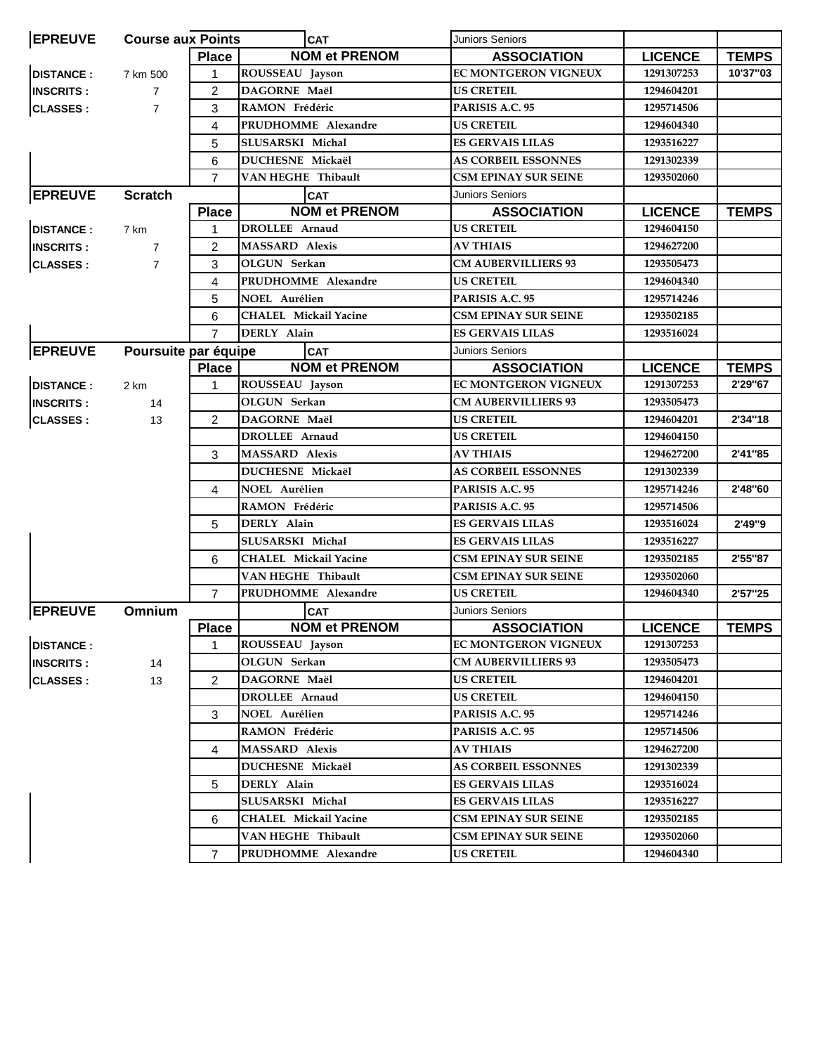| <b>EPREUVE</b>   | <b>Course aux Points</b> |                | <b>CAT</b>                         | <b>Juniors Seniors</b>      |                |              |
|------------------|--------------------------|----------------|------------------------------------|-----------------------------|----------------|--------------|
|                  |                          | <b>Place</b>   | <b>NOM et PRENOM</b>               | <b>ASSOCIATION</b>          | <b>LICENCE</b> | <b>TEMPS</b> |
| <b>DISTANCE:</b> | 7 km 500                 | $\mathbf 1$    | ROUSSEAU Jayson                    | <b>EC MONTGERON VIGNEUX</b> | 1291307253     | 10'37"03     |
| <b>INSCRITS:</b> | $\overline{7}$           | $\overline{2}$ | DAGORNE Maël                       | <b>US CRETEIL</b>           | 1294604201     |              |
| <b>CLASSES:</b>  | $\overline{7}$           | 3              | RAMON Frédéric                     | PARISIS A.C. 95             | 1295714506     |              |
|                  |                          | 4              | PRUDHOMME Alexandre                | <b>US CRETEIL</b>           | 1294604340     |              |
|                  |                          | 5              | SLUSARSKI Michal                   | <b>ES GERVAIS LILAS</b>     | 1293516227     |              |
|                  |                          | 6              | DUCHESNE Mickaël                   | <b>AS CORBEIL ESSONNES</b>  | 1291302339     |              |
|                  |                          | $\overline{7}$ | VAN HEGHE) Thibault                | <b>CSM EPINAY SUR SEINE</b> | 1293502060     |              |
| <b>EPREUVE</b>   | <b>Scratch</b>           |                | <b>CAT</b>                         | <b>Juniors Seniors</b>      |                |              |
|                  |                          | <b>Place</b>   | <b>NOM et PRENOM</b>               | <b>ASSOCIATION</b>          | <b>LICENCE</b> | <b>TEMPS</b> |
| <b>DISTANCE:</b> | 7 km                     | $\mathbf 1$    | <b>DROLLEE Arnaud</b>              | <b>US CRETEIL</b>           | 1294604150     |              |
| <b>INSCRITS:</b> | $\overline{7}$           | $\overline{2}$ | <b>MASSARD</b> Alexis              | <b>AV THIAIS</b>            | 1294627200     |              |
| <b>CLASSES:</b>  | $\overline{7}$           | 3              | OLGUN Serkan                       | <b>CM AUBERVILLIERS 93</b>  | 1293505473     |              |
|                  |                          | 4              | PRUDHOMME Alexandre                | <b>US CRETEIL</b>           | 1294604340     |              |
|                  |                          | 5              | <b>NOEL Aurélien</b>               | PARISIS A.C. 95             | 1295714246     |              |
|                  |                          | 6              | <b>CHALEL Mickail Yacine</b>       | <b>CSM EPINAY SUR SEINE</b> | 1293502185     |              |
|                  |                          | $\overline{7}$ | DERLY Alain                        | <b>ES GERVAIS LILAS</b>     | 1293516024     |              |
|                  |                          |                |                                    |                             |                |              |
| <b>EPREUVE</b>   | Poursuite par équipe     |                | <b>CAT</b><br><b>NOM et PRENOM</b> | <b>Juniors Seniors</b>      |                |              |
|                  |                          | <b>Place</b>   |                                    | <b>ASSOCIATION</b>          | <b>LICENCE</b> | <b>TEMPS</b> |
| <b>DISTANCE:</b> | 2 km                     | 1              | ROUSSEAU Jayson                    | <b>EC MONTGERON VIGNEUX</b> | 1291307253     | 2'29"67      |
| <b>INSCRITS:</b> | 14                       |                | OLGUN Serkan                       | <b>CM AUBERVILLIERS 93</b>  | 1293505473     |              |
| <b>CLASSES:</b>  | 13                       | $\overline{2}$ | DAGORNE Maël                       | <b>US CRETEIL</b>           | 1294604201     | 2'34"18      |
|                  |                          |                | DROLLEE Arnaud                     | <b>US CRETEIL</b>           | 1294604150     |              |
|                  |                          | 3              | <b>MASSARD</b> Alexis              | <b>AV THIAIS</b>            | 1294627200     | 2'41"85      |
|                  |                          |                | <b>DUCHESNE Mickaël</b>            | <b>AS CORBEIL ESSONNES</b>  | 1291302339     |              |
|                  |                          | 4              | NOEL Aurélien                      | PARISIS A.C. 95             | 1295714246     | 2'48"60      |
|                  |                          |                | RAMON Frédéric                     | PARISIS A.C. 95             | 1295714506     |              |
|                  |                          | 5              | DERLY Alain                        | <b>ES GERVAIS LILAS</b>     | 1293516024     | 2'49"9       |
|                  |                          |                | SLUSARSKI Michal                   | <b>ES GERVAIS LILAS</b>     | 1293516227     |              |
|                  |                          | 6              | <b>CHALEL Mickail Yacine</b>       | <b>CSM EPINAY SUR SEINE</b> | 1293502185     | 2'55"87      |
|                  |                          |                | VAN HEGHE Thibault                 | <b>CSM EPINAY SUR SEINE</b> | 1293502060     |              |
|                  |                          | $\overline{7}$ | PRUDHOMME Alexandre                | <b>US CRETEIL</b>           | 1294604340     | 2'57"25      |
| <b>EPREUVE</b>   | Omnium                   |                | <b>CAT</b>                         | <b>Juniors Seniors</b>      |                |              |
|                  |                          | <b>Place</b>   | <b>NOM et PRENOM</b>               | <b>ASSOCIATION</b>          | <b>LICENCE</b> | <b>TEMPS</b> |
| <b>DISTANCE:</b> |                          | 1              | ROUSSEAU Jayson                    | <b>EC MONTGERON VIGNEUX</b> | 1291307253     |              |
| <b>INSCRITS:</b> | 14                       |                | OLGUN Serkan                       | <b>CM AUBERVILLIERS 93</b>  | 1293505473     |              |
| <b>CLASSES:</b>  | 13                       | $\overline{2}$ | DAGORNE Maël                       | <b>US CRETEIL</b>           | 1294604201     |              |
|                  |                          |                | DROLLEE Arnaud                     | <b>US CRETEIL</b>           | 1294604150     |              |
|                  |                          | 3              | <b>NOEL Aurélien</b>               | PARISIS A.C. 95             | 1295714246     |              |
|                  |                          |                | RAMON Frédéric                     | PARISIS A.C. 95             | 1295714506     |              |
|                  |                          | 4              | <b>MASSARD Alexis</b>              | <b>AV THIAIS</b>            | 1294627200     |              |
|                  |                          |                | DUCHESNE Mickaël                   | <b>AS CORBEIL ESSONNES</b>  | 1291302339     |              |
|                  |                          |                | DERLY Alain                        | <b>ES GERVAIS LILAS</b>     | 1293516024     |              |
|                  |                          | 5              |                                    |                             |                |              |
|                  |                          |                | SLUSARSKI Michal                   | <b>ES GERVAIS LILAS</b>     | 1293516227     |              |
|                  |                          | 6              | <b>CHALEL Mickail Yacine</b>       | <b>CSM EPINAY SUR SEINE</b> | 1293502185     |              |
|                  |                          |                | VAN HEGHE Thibault                 | <b>CSM EPINAY SUR SEINE</b> | 1293502060     |              |
|                  |                          | 7              | PRUDHOMME Alexandre                | <b>US CRETEIL</b>           | 1294604340     |              |